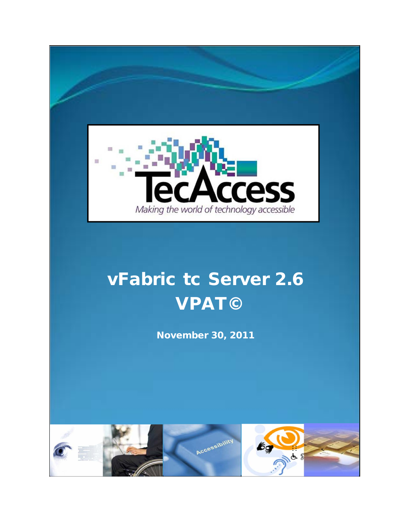

# vFabric tc Server 2.6 VPAT©

November 30, 2011

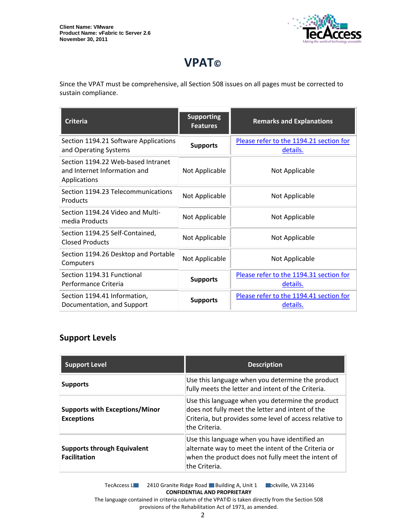

# **VPAT©**

Since the VPAT must be comprehensive, all Section 508 issues on all pages must be corrected to sustain compliance.

| <b>Criteria</b>                                                                    | <b>Supporting</b><br><b>Features</b> | <b>Remarks and Explanations</b>                     |
|------------------------------------------------------------------------------------|--------------------------------------|-----------------------------------------------------|
| Section 1194.21 Software Applications<br>and Operating Systems                     | <b>Supports</b>                      | Please refer to the 1194.21 section for<br>details. |
| Section 1194.22 Web-based Intranet<br>and Internet Information and<br>Applications | Not Applicable                       | Not Applicable                                      |
| Section 1194.23 Telecommunications<br>Products                                     | Not Applicable                       | Not Applicable                                      |
| Section 1194.24 Video and Multi-<br>media Products                                 | Not Applicable                       | Not Applicable                                      |
| Section 1194.25 Self-Contained,<br><b>Closed Products</b>                          | Not Applicable                       | Not Applicable                                      |
| Section 1194.26 Desktop and Portable<br>Computers                                  | Not Applicable                       | Not Applicable                                      |
| Section 1194.31 Functional<br>Performance Criteria                                 | <b>Supports</b>                      | Please refer to the 1194.31 section for<br>details. |
| Section 1194.41 Information,<br>Documentation, and Support                         | <b>Supports</b>                      | Please refer to the 1194.41 section for<br>details. |

# **Support Levels**

| <b>Support Level</b>                                       | <b>Description</b>                                                                                                                                                               |
|------------------------------------------------------------|----------------------------------------------------------------------------------------------------------------------------------------------------------------------------------|
| <b>Supports</b>                                            | Use this language when you determine the product<br>fully meets the letter and intent of the Criteria.                                                                           |
| <b>Supports with Exceptions/Minor</b><br><b>Exceptions</b> | Use this language when you determine the product<br>does not fully meet the letter and intent of the<br>Criteria, but provides some level of access relative to<br>the Criteria. |
| <b>Supports through Equivalent</b><br><b>Facilitation</b>  | Use this language when you have identified an<br>alternate way to meet the intent of the Criteria or<br>when the product does not fully meet the intent of<br>lthe Criteria.     |

TecAccess LLC 2410 Granite Ridge Road Building A, Unit 1 Dickville, VA 23146 **CONFIDENTIAL AND PROPRIETARY** The language contained in criteria column of the VPAT© is taken directly from the Section 508

provisions of the Rehabilitation Act of 1973, as amended.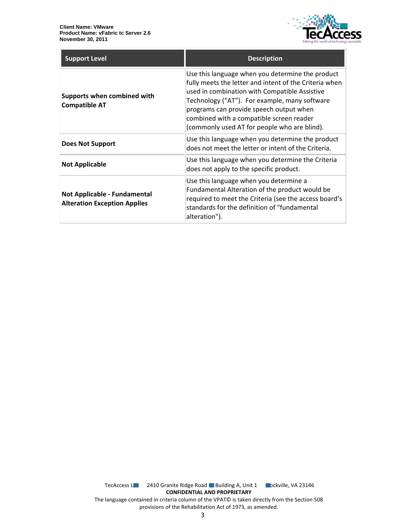

| <b>Support Level</b>                                                | <b>Description</b>                                                                                                                                                                                                                                                                                                                                  |
|---------------------------------------------------------------------|-----------------------------------------------------------------------------------------------------------------------------------------------------------------------------------------------------------------------------------------------------------------------------------------------------------------------------------------------------|
| Supports when combined with<br><b>Compatible AT</b>                 | Use this language when you determine the product<br>fully meets the letter and intent of the Criteria when<br>used in combination with Compatible Assistive<br>Technology ("AT"). For example, many software<br>programs can provide speech output when<br>combined with a compatible screen reader<br>(commonly used AT for people who are blind). |
| Does Not Support                                                    | Use this language when you determine the product<br>does not meet the letter or intent of the Criteria.                                                                                                                                                                                                                                             |
| <b>Not Applicable</b>                                               | Use this language when you determine the Criteria<br>does not apply to the specific product.                                                                                                                                                                                                                                                        |
| Not Applicable - Fundamental<br><b>Alteration Exception Applies</b> | Use this language when you determine a<br>Fundamental Alteration of the product would be<br>required to meet the Criteria (see the access board's<br>standards for the definition of "fundamental<br>alteration").                                                                                                                                  |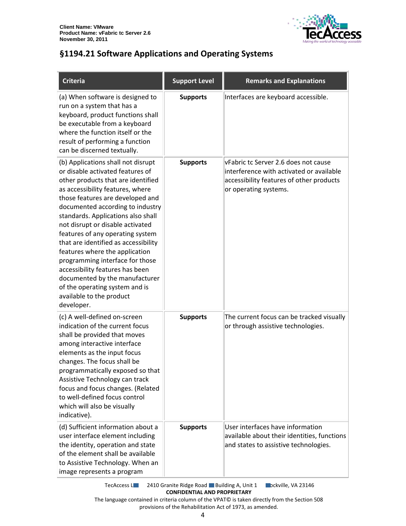

# <span id="page-3-0"></span>**§1194.21 Software Applications and Operating Systems**

| <b>Criteria</b>                                                                                                                                                                                                                                                                                                                                                                                                                                                                                                                                                                                      | <b>Support Level</b> | <b>Remarks and Explanations</b>                                                                                                                       |
|------------------------------------------------------------------------------------------------------------------------------------------------------------------------------------------------------------------------------------------------------------------------------------------------------------------------------------------------------------------------------------------------------------------------------------------------------------------------------------------------------------------------------------------------------------------------------------------------------|----------------------|-------------------------------------------------------------------------------------------------------------------------------------------------------|
| (a) When software is designed to<br>run on a system that has a<br>keyboard, product functions shall<br>be executable from a keyboard<br>where the function itself or the<br>result of performing a function<br>can be discerned textually.                                                                                                                                                                                                                                                                                                                                                           | <b>Supports</b>      | Interfaces are keyboard accessible.                                                                                                                   |
| (b) Applications shall not disrupt<br>or disable activated features of<br>other products that are identified<br>as accessibility features, where<br>those features are developed and<br>documented according to industry<br>standards. Applications also shall<br>not disrupt or disable activated<br>features of any operating system<br>that are identified as accessibility<br>features where the application<br>programming interface for those<br>accessibility features has been<br>documented by the manufacturer<br>of the operating system and is<br>available to the product<br>developer. | <b>Supports</b>      | vFabric tc Server 2.6 does not cause<br>interference with activated or available<br>accessibility features of other products<br>or operating systems. |
| (c) A well-defined on-screen<br>indication of the current focus<br>shall be provided that moves<br>among interactive interface<br>elements as the input focus<br>changes. The focus shall be<br>programmatically exposed so that<br>Assistive Technology can track<br>focus and focus changes. (Related<br>to well-defined focus control<br>which will also be visually<br>indicative).                                                                                                                                                                                                              | <b>Supports</b>      | The current focus can be tracked visually<br>or through assistive technologies.                                                                       |
| (d) Sufficient information about a<br>user interface element including<br>the identity, operation and state<br>of the element shall be available<br>to Assistive Technology. When an<br>image represents a program                                                                                                                                                                                                                                                                                                                                                                                   | <b>Supports</b>      | User interfaces have information<br>available about their identities, functions<br>and states to assistive technologies.                              |

TecAccess L**LC** 2410 Granite Ridge Road Building A, Unit 1 **Rockville, VA 23146 CONFIDENTIAL AND PROPRIETARY**

The language contained in criteria column of the VPAT© is taken directly from the Section 508 provisions of the Rehabilitation Act of 1973, as amended.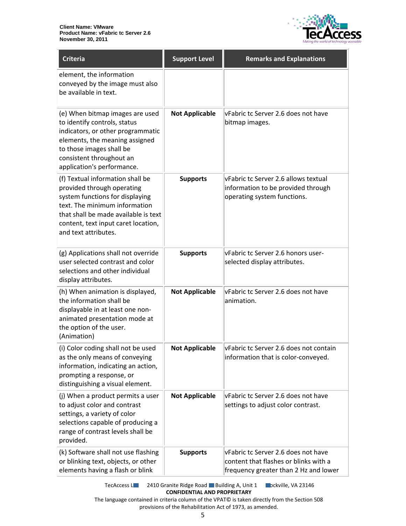

| <b>Criteria</b>                                                                                                                                                                                                                           | <b>Support Level</b>  | <b>Remarks and Explanations</b>                                                                                       |
|-------------------------------------------------------------------------------------------------------------------------------------------------------------------------------------------------------------------------------------------|-----------------------|-----------------------------------------------------------------------------------------------------------------------|
| element, the information<br>conveyed by the image must also<br>be available in text.                                                                                                                                                      |                       |                                                                                                                       |
| (e) When bitmap images are used<br>to identify controls, status<br>indicators, or other programmatic<br>elements, the meaning assigned<br>to those images shall be<br>consistent throughout an<br>application's performance.              | <b>Not Applicable</b> | vFabric tc Server 2.6 does not have<br>bitmap images.                                                                 |
| (f) Textual information shall be<br>provided through operating<br>system functions for displaying<br>text. The minimum information<br>that shall be made available is text<br>content, text input caret location,<br>and text attributes. | <b>Supports</b>       | vFabric tc Server 2.6 allows textual<br>information to be provided through<br>operating system functions.             |
| (g) Applications shall not override<br>user selected contrast and color<br>selections and other individual<br>display attributes.                                                                                                         | <b>Supports</b>       | vFabric tc Server 2.6 honors user-<br>selected display attributes.                                                    |
| (h) When animation is displayed,<br>the information shall be<br>displayable in at least one non-<br>animated presentation mode at<br>the option of the user.<br>(Animation)                                                               | <b>Not Applicable</b> | vFabric tc Server 2.6 does not have<br>animation.                                                                     |
| (i) Color coding shall not be used<br>as the only means of conveying<br>information, indicating an action,<br>prompting a response, or<br>distinguishing a visual element.                                                                | <b>Not Applicable</b> | VFabric tc Server 2.6 does not contain<br>information that is color-conveyed.                                         |
| (j) When a product permits a user<br>to adjust color and contrast<br>settings, a variety of color<br>selections capable of producing a<br>range of contrast levels shall be<br>provided.                                                  | <b>Not Applicable</b> | vFabric tc Server 2.6 does not have<br>settings to adjust color contrast.                                             |
| (k) Software shall not use flashing<br>or blinking text, objects, or other<br>elements having a flash or blink                                                                                                                            | <b>Supports</b>       | vFabric tc Server 2.6 does not have<br>content that flashes or blinks with a<br>frequency greater than 2 Hz and lower |

TecAccess L**LC** 2410 Granite Ridge Road Building A, Unit 1 **Rockville, VA 23146 CONFIDENTIAL AND PROPRIETARY**

The language contained in criteria column of the VPAT© is taken directly from the Section 508 provisions of the Rehabilitation Act of 1973, as amended.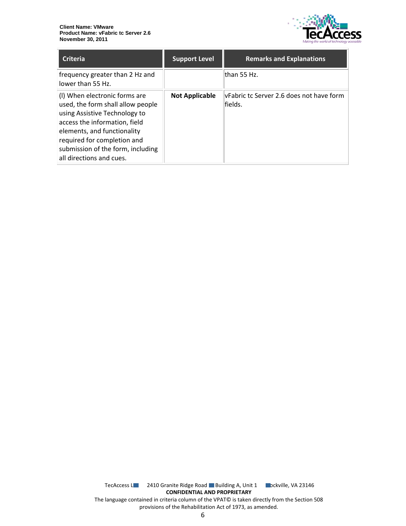

| <b>Criteria</b>                                                                                                                                                                                                                                                     | <b>Support Level</b>  | <b>Remarks and Explanations</b>                     |
|---------------------------------------------------------------------------------------------------------------------------------------------------------------------------------------------------------------------------------------------------------------------|-----------------------|-----------------------------------------------------|
| frequency greater than 2 Hz and<br>lower than 55 Hz.                                                                                                                                                                                                                |                       | lthan 55 Hz.                                        |
| (I) When electronic forms are<br>used, the form shall allow people<br>using Assistive Technology to<br>access the information, field<br>elements, and functionality<br>required for completion and<br>submission of the form, including<br>all directions and cues. | <b>Not Applicable</b> | vFabric tc Server 2.6 does not have form<br>fields. |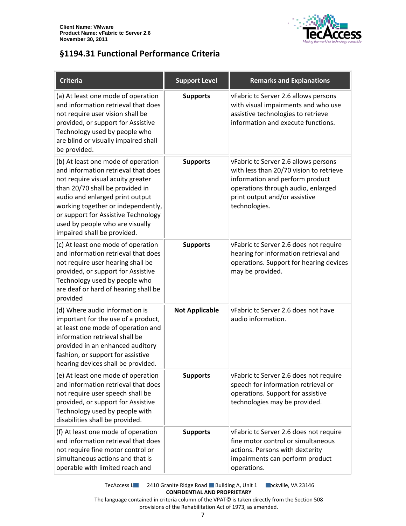

## <span id="page-6-0"></span>**§1194.31 Functional Performance Criteria**

| <b>Criteria</b>                                                                                                                                                                                                                                                                                                                     | <b>Support Level</b>  | <b>Remarks and Explanations</b>                                                                                                                                                                            |
|-------------------------------------------------------------------------------------------------------------------------------------------------------------------------------------------------------------------------------------------------------------------------------------------------------------------------------------|-----------------------|------------------------------------------------------------------------------------------------------------------------------------------------------------------------------------------------------------|
| (a) At least one mode of operation<br>and information retrieval that does<br>not require user vision shall be<br>provided, or support for Assistive<br>Technology used by people who<br>are blind or visually impaired shall<br>be provided.                                                                                        | <b>Supports</b>       | vFabric tc Server 2.6 allows persons<br>with visual impairments and who use<br>assistive technologies to retrieve<br>information and execute functions.                                                    |
| (b) At least one mode of operation<br>and information retrieval that does<br>not require visual acuity greater<br>than 20/70 shall be provided in<br>audio and enlarged print output<br>working together or independently,<br>or support for Assistive Technology<br>used by people who are visually<br>impaired shall be provided. | <b>Supports</b>       | vFabric tc Server 2.6 allows persons<br>with less than 20/70 vision to retrieve<br>information and perform product<br>operations through audio, enlarged<br>print output and/or assistive<br>technologies. |
| (c) At least one mode of operation<br>and information retrieval that does<br>not require user hearing shall be<br>provided, or support for Assistive<br>Technology used by people who<br>are deaf or hard of hearing shall be<br>provided                                                                                           | <b>Supports</b>       | vFabric tc Server 2.6 does not require<br>hearing for information retrieval and<br>operations. Support for hearing devices<br>may be provided.                                                             |
| (d) Where audio information is<br>important for the use of a product,<br>at least one mode of operation and<br>information retrieval shall be<br>provided in an enhanced auditory<br>fashion, or support for assistive<br>hearing devices shall be provided.                                                                        | <b>Not Applicable</b> | vFabric tc Server 2.6 does not have<br>audio information.                                                                                                                                                  |
| (e) At least one mode of operation<br>and information retrieval that does<br>not require user speech shall be<br>provided, or support for Assistive<br>Technology used by people with<br>disabilities shall be provided.                                                                                                            | <b>Supports</b>       | vFabric tc Server 2.6 does not require<br>speech for information retrieval or<br>operations. Support for assistive<br>technologies may be provided.                                                        |
| (f) At least one mode of operation<br>and information retrieval that does<br>not require fine motor control or<br>simultaneous actions and that is<br>operable with limited reach and                                                                                                                                               | <b>Supports</b>       | vFabric tc Server 2.6 does not require<br>fine motor control or simultaneous<br>actions. Persons with dexterity<br>impairments can perform product<br>operations.                                          |

TecAccess L**LC** 2410 Granite Ridge Road Building A, Unit 1 **Rockville, VA 23146 CONFIDENTIAL AND PROPRIETARY** The language contained in criteria column of the VPAT© is taken directly from the Section 508

provisions of the Rehabilitation Act of 1973, as amended.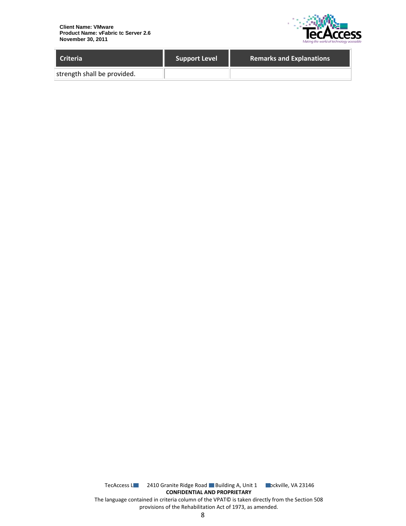

| <b>Criteria</b>             | <b>Support Level</b> | <b>Remarks and Explanations</b> |
|-----------------------------|----------------------|---------------------------------|
| strength shall be provided. |                      |                                 |